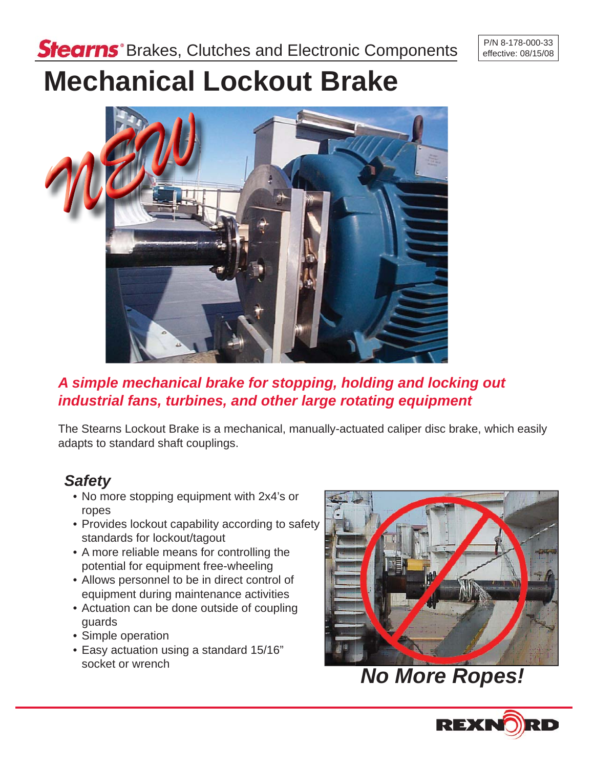# **Mechanical Lockout Brake**



# *A simple mechanical brake for stopping, holding and locking out industrial fans, turbines, and other large rotating equipment*

The Stearns Lockout Brake is a mechanical, manually-actuated caliper disc brake, which easily adapts to standard shaft couplings.

# *Safety*

- No more stopping equipment with 2x4's or ropes
- Provides lockout capability according to safety standards for lockout/tagout
- A more reliable means for controlling the potential for equipment free-wheeling
- Allows personnel to be in direct control of equipment during maintenance activities
- Actuation can be done outside of coupling guards
- Simple operation
- Easy actuation using a standard 15/16" socket or wrench



*No More Ropes!*